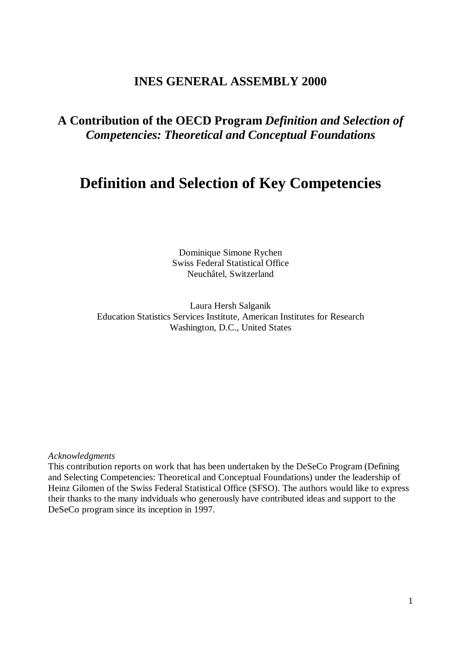## **INES GENERAL ASSEMBLY 2000**

# **A Contribution of the OECD Program** *Definition and Selection of Competencies: Theoretical and Conceptual Foundations*

# **Definition and Selection of Key Competencies**

Dominique Simone Rychen Swiss Federal Statistical Office Neuchâtel, Switzerland

Laura Hersh Salganik Education Statistics Services Institute, American Institutes for Research Washington, D.C., United States

#### *Acknowledgments*

This contribution reports on work that has been undertaken by the DeSeCo Program (Defining and Selecting Competencies: Theoretical and Conceptual Foundations) under the leadership of Heinz Gilomen of the Swiss Federal Statistical Office (SFSO). The authors would like to express their thanks to the many indviduals who generously have contributed ideas and support to the DeSeCo program since its inception in 1997.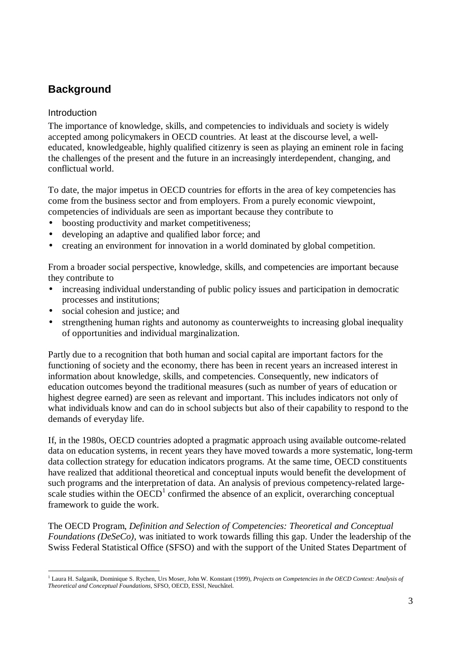# **Background**

## Introduction

The importance of knowledge, skills, and competencies to individuals and society is widely accepted among policymakers in OECD countries. At least at the discourse level, a welleducated, knowledgeable, highly qualified citizenry is seen as playing an eminent role in facing the challenges of the present and the future in an increasingly interdependent, changing, and conflictual world.

To date, the major impetus in OECD countries for efforts in the area of key competencies has come from the business sector and from employers. From a purely economic viewpoint, competencies of individuals are seen as important because they contribute to

- boosting productivity and market competitiveness;
- developing an adaptive and qualified labor force; and
- creating an environment for innovation in a world dominated by global competition.

From a broader social perspective, knowledge, skills, and competencies are important because they contribute to

- increasing individual understanding of public policy issues and participation in democratic processes and institutions;
- social cohesion and justice; and
- strengthening human rights and autonomy as counterweights to increasing global inequality of opportunities and individual marginalization.

Partly due to a recognition that both human and social capital are important factors for the functioning of society and the economy, there has been in recent years an increased interest in information about knowledge, skills, and competencies. Consequently, new indicators of education outcomes beyond the traditional measures (such as number of years of education or highest degree earned) are seen as relevant and important. This includes indicators not only of what individuals know and can do in school subjects but also of their capability to respond to the demands of everyday life.

If, in the 1980s, OECD countries adopted a pragmatic approach using available outcome-related data on education systems, in recent years they have moved towards a more systematic, long-term data collection strategy for education indicators programs. At the same time, OECD constituents have realized that additional theoretical and conceptual inputs would benefit the development of such programs and the interpretation of data. An analysis of previous competency-related largescale studies within the  $\widehat{OECD}^1$  confirmed the absence of an explicit, overarching conceptual framework to guide the work.

The OECD Program, *Definition and Selection of Competencies: Theoretical and Conceptual Foundations (DeSeCo)*, was initiated to work towards filling this gap. Under the leadership of the Swiss Federal Statistical Office (SFSO) and with the support of the United States Department of

l <sup>1</sup> Laura H. Salganik, Dominique S. Rychen, Urs Moser, John W. Konstant (1999), Projects on Competencies in the OECD Context: Analysis of *Theoretical and Conceptual Foundations,* SFSO, OECD, ESSI, Neuchâtel.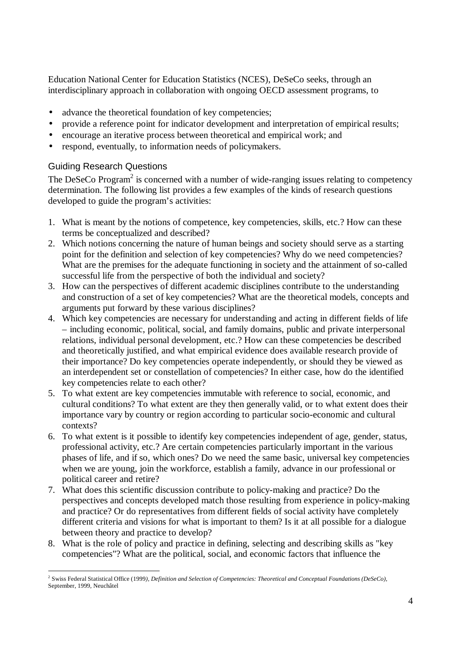Education National Center for Education Statistics (NCES), DeSeCo seeks, through an interdisciplinary approach in collaboration with ongoing OECD assessment programs, to

- advance the theoretical foundation of key competencies;
- provide a reference point for indicator development and interpretation of empirical results;
- encourage an iterative process between theoretical and empirical work; and
- respond, eventually, to information needs of policymakers.

## Guiding Research Questions

The DeSeCo Program<sup>2</sup> is concerned with a number of wide-ranging issues relating to competency determination. The following list provides a few examples of the kinds of research questions developed to guide the program's activities:

- 1. What is meant by the notions of competence, key competencies, skills, etc.? How can these terms be conceptualized and described?
- 2. Which notions concerning the nature of human beings and society should serve as a starting point for the definition and selection of key competencies? Why do we need competencies? What are the premises for the adequate functioning in society and the attainment of so-called successful life from the perspective of both the individual and society?
- 3. How can the perspectives of different academic disciplines contribute to the understanding and construction of a set of key competencies? What are the theoretical models, concepts and arguments put forward by these various disciplines?
- 4. Which key competencies are necessary for understanding and acting in different fields of life – including economic, political, social, and family domains, public and private interpersonal relations, individual personal development, etc.? How can these competencies be described and theoretically justified, and what empirical evidence does available research provide of their importance? Do key competencies operate independently, or should they be viewed as an interdependent set or constellation of competencies? In either case, how do the identified key competencies relate to each other?
- 5. To what extent are key competencies immutable with reference to social, economic, and cultural conditions? To what extent are they then generally valid, or to what extent does their importance vary by country or region according to particular socio-economic and cultural contexts?
- 6. To what extent is it possible to identify key competencies independent of age, gender, status, professional activity, etc.? Are certain competencies particularly important in the various phases of life, and if so, which ones? Do we need the same basic, universal key competencies when we are young, join the workforce, establish a family, advance in our professional or political career and retire?
- 7. What does this scientific discussion contribute to policy-making and practice? Do the perspectives and concepts developed match those resulting from experience in policy-making and practice? Or do representatives from different fields of social activity have completely different criteria and visions for what is important to them? Is it at all possible for a dialogue between theory and practice to develop?
- 8. What is the role of policy and practice in defining, selecting and describing skills as "key competencies"? What are the political, social, and economic factors that influence the

l 2 Swiss Federal Statistical Office (1999*), Definition and Selection of Competencies: Theoretical and Conceptual Foundations (DeSeCo)*, September, 1999, Neuchâtel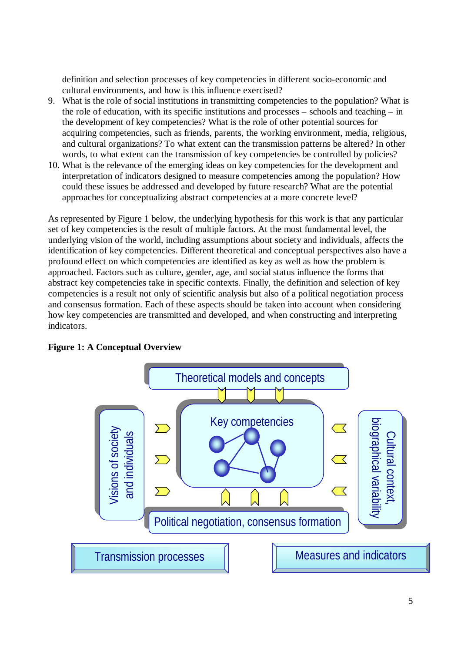definition and selection processes of key competencies in different socio-economic and cultural environments, and how is this influence exercised?

- 9. What is the role of social institutions in transmitting competencies to the population? What is the role of education, with its specific institutions and processes – schools and teaching – in the development of key competencies? What is the role of other potential sources for acquiring competencies, such as friends, parents, the working environment, media, religious, and cultural organizations? To what extent can the transmission patterns be altered? In other words, to what extent can the transmission of key competencies be controlled by policies?
- 10. What is the relevance of the emerging ideas on key competencies for the development and interpretation of indicators designed to measure competencies among the population? How could these issues be addressed and developed by future research? What are the potential approaches for conceptualizing abstract competencies at a more concrete level?

As represented by Figure 1 below, the underlying hypothesis for this work is that any particular set of key competencies is the result of multiple factors. At the most fundamental level, the underlying vision of the world, including assumptions about society and individuals, affects the identification of key competencies. Different theoretical and conceptual perspectives also have a profound effect on which competencies are identified as key as well as how the problem is approached. Factors such as culture, gender, age, and social status influence the forms that abstract key competencies take in specific contexts. Finally, the definition and selection of key competencies is a result not only of scientific analysis but also of a political negotiation process and consensus formation. Each of these aspects should be taken into account when considering how key competencies are transmitted and developed, and when constructing and interpreting indicators.



#### **Figure 1: A Conceptual Overview**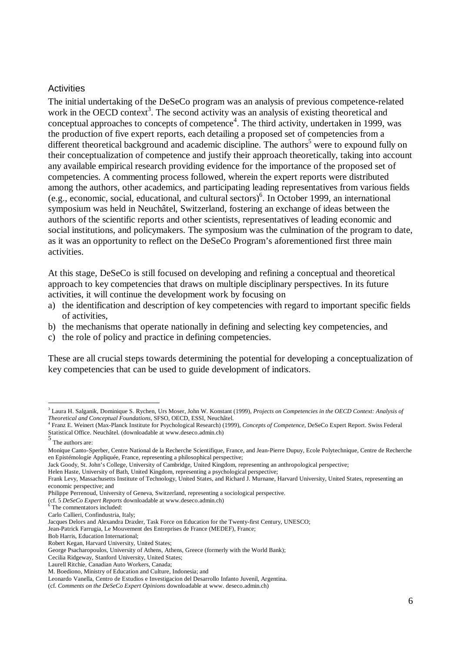#### **Activities**

The initial undertaking of the DeSeCo program was an analysis of previous competence-related work in the OECD context<sup>3</sup>. The second activity was an analysis of existing theoretical and conceptual approaches to concepts of competence<sup>4</sup>. The third activity, undertaken in 1999, was the production of five expert reports, each detailing a proposed set of competencies from a different theoretical background and academic discipline. The authors<sup>5</sup> were to expound fully on their conceptualization of competence and justify their approach theoretically, taking into account any available empirical research providing evidence for the importance of the proposed set of competencies. A commenting process followed, wherein the expert reports were distributed among the authors, other academics, and participating leading representatives from various fields (e.g., economic, social, educational, and cultural sectors)<sup>6</sup> . In October 1999, an international symposium was held in Neuchâtel, Switzerland, fostering an exchange of ideas between the authors of the scientific reports and other scientists, representatives of leading economic and social institutions, and policymakers. The symposium was the culmination of the program to date, as it was an opportunity to reflect on the DeSeCo Program's aforementioned first three main activities.

At this stage, DeSeCo is still focused on developing and refining a conceptual and theoretical approach to key competencies that draws on multiple disciplinary perspectives. In its future activities, it will continue the development work by focusing on

- a) the identification and description of key competencies with regard to important specific fields of activities,
- b) the mechanisms that operate nationally in defining and selecting key competencies, and
- c) the role of policy and practice in defining competencies.

These are all crucial steps towards determining the potential for developing a conceptualization of key competencies that can be used to guide development of indicators.

 $\overline{a}$ 

<sup>3</sup> Laura H. Salganik, Dominique S. Rychen, Urs Moser, John W. Konstant (1999), *Projects on Competencies in the OECD Context: Analysis of Theoretical and Conceptual Foundations, SFSO, OECD, ESSI, Neuchâtel.*<br><sup>4</sup> Franz E. Weinert (Max Planck Institute for Psychological Pessarsh) (100

Franz E. Weinert (Max-Planck Institute for Psychological Research) (1999), *Concepts of Competence*, DeSeCo Expert Report. Swiss Federal Statistical Office. Neuchâtel. (downloadable at www.deseco.admin.ch)<br>5

The authors are:

Monique Canto-Sperber, Centre National de la Recherche Scientifique, France, and Jean-Pierre Dupuy, Ecole Polytechnique, Centre de Recherche en Epistémologie Appliquée, France, representing a philosophical perspective;

Jack Goody, St. John's College, University of Cambridge, United Kingdom, representing an anthropological perspective;

Helen Haste, University of Bath, United Kingdom, representing a psychological perspective;

Frank Levy, Massachusetts Institute of Technology, United States, and Richard J. Murnane, Harvard University, United States, representing an economic perspective; and

Philippe Perrenoud, University of Geneva, Switzerland, representing a sociological perspective.

<sup>(</sup>cf. 5 *DeSeCo Expert Reports* downloadable at www.deseco.admin.ch)

<sup>&</sup>lt;sup>6</sup> The commentators included:

Carlo Callieri, Confindustria, Italy;

Jacques Delors and Alexandra Draxler, Task Force on Education for the Twenty-first Century, UNESCO;

Jean-Patrick Farrugia, Le Mouvement des Entreprises de France (MEDEF), France;

Bob Harris, Education International;

Robert Kegan, Harvard University, United States;

George Psacharopoulos, University of Athens, Athens, Greece (formerly with the World Bank);

Cecilia Ridgeway, Stanford University, United States;

Laurell Ritchie, Canadian Auto Workers, Canada;

M. Boediono, Ministry of Education and Culture, Indonesia; and

Leonardo Vanella, Centro de Estudios e Investigacion del Desarrollo Infanto Juvenil, Argentina.

<sup>(</sup>cf. *Comments on the DeSeCo Expert Opinions* downloadable at www. deseco.admin.ch)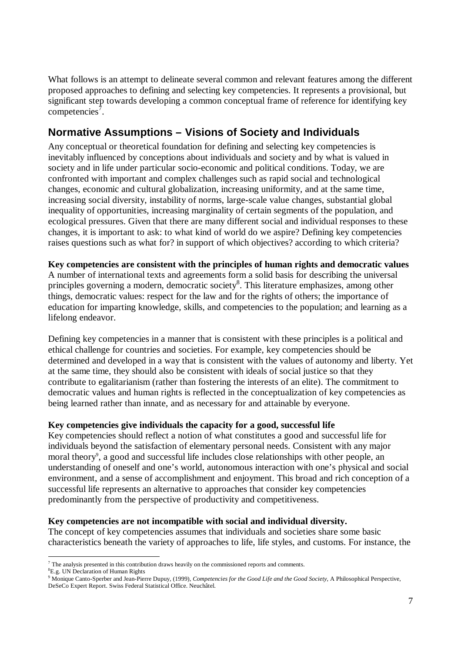What follows is an attempt to delineate several common and relevant features among the different proposed approaches to defining and selecting key competencies. It represents a provisional, but significant step towards developing a common conceptual frame of reference for identifying key  $competencies<sup>7</sup>$ .

# **Normative Assumptions – Visions of Society and Individuals**

Any conceptual or theoretical foundation for defining and selecting key competencies is inevitably influenced by conceptions about individuals and society and by what is valued in society and in life under particular socio-economic and political conditions. Today, we are confronted with important and complex challenges such as rapid social and technological changes, economic and cultural globalization, increasing uniformity, and at the same time, increasing social diversity, instability of norms, large-scale value changes, substantial global inequality of opportunities, increasing marginality of certain segments of the population, and ecological pressures. Given that there are many different social and individual responses to these changes, it is important to ask: to what kind of world do we aspire? Defining key competencies raises questions such as what for? in support of which objectives? according to which criteria?

**Key competencies are consistent with the principles of human rights and democratic values** A number of international texts and agreements form a solid basis for describing the universal principles governing a modern, democratic society<sup>8</sup>. This literature emphasizes, among other things, democratic values: respect for the law and for the rights of others; the importance of

education for imparting knowledge, skills, and competencies to the population; and learning as a lifelong endeavor.

Defining key competencies in a manner that is consistent with these principles is a political and ethical challenge for countries and societies. For example, key competencies should be determined and developed in a way that is consistent with the values of autonomy and liberty. Yet at the same time, they should also be consistent with ideals of social justice so that they contribute to egalitarianism (rather than fostering the interests of an elite). The commitment to democratic values and human rights is reflected in the conceptualization of key competencies as being learned rather than innate, and as necessary for and attainable by everyone.

## **Key competencies give individuals the capacity for a good, successful life**

Key competencies should reflect a notion of what constitutes a good and successful life for individuals beyond the satisfaction of elementary personal needs. Consistent with any major moral theory<sup>9</sup>, a good and successful life includes close relationships with other people, an understanding of oneself and one's world, autonomous interaction with one's physical and social environment, and a sense of accomplishment and enjoyment. This broad and rich conception of a successful life represents an alternative to approaches that consider key competencies predominantly from the perspective of productivity and competitiveness.

#### **Key competencies are not incompatible with social and individual diversity.**

The concept of key competencies assumes that individuals and societies share some basic characteristics beneath the variety of approaches to life, life styles, and customs. For instance, the

l  $<sup>7</sup>$  The analysis presented in this contribution draws heavily on the commissioned reports and comments.</sup>

<sup>8</sup>E.g. UN Declaration of Human Rights

<sup>9</sup> Monique Canto-Sperber and Jean-Pierre Dupuy, (1999), *Competencies for the Good Life and the Good Society*, A Philosophical Perspective, DeSeCo Expert Report. Swiss Federal Statistical Office. Neuchâtel.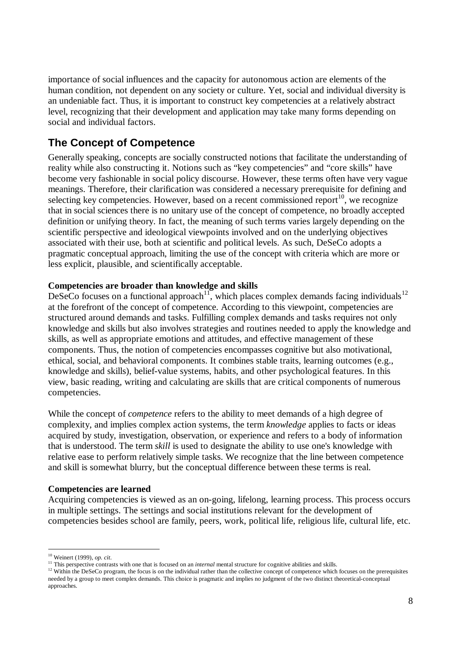importance of social influences and the capacity for autonomous action are elements of the human condition, not dependent on any society or culture. Yet, social and individual diversity is an undeniable fact. Thus, it is important to construct key competencies at a relatively abstract level, recognizing that their development and application may take many forms depending on social and individual factors.

## **The Concept of Competence**

Generally speaking, concepts are socially constructed notions that facilitate the understanding of reality while also constructing it. Notions such as "key competencies" and "core skills" have become very fashionable in social policy discourse. However, these terms often have very vague meanings. Therefore, their clarification was considered a necessary prerequisite for defining and selecting key competencies. However, based on a recent commissioned report<sup>10</sup>, we recognize that in social sciences there is no unitary use of the concept of competence, no broadly accepted definition or unifying theory. In fact, the meaning of such terms varies largely depending on the scientific perspective and ideological viewpoints involved and on the underlying objectives associated with their use, both at scientific and political levels. As such, DeSeCo adopts a pragmatic conceptual approach, limiting the use of the concept with criteria which are more or less explicit, plausible, and scientifically acceptable.

#### **Competencies are broader than knowledge and skills**

DeSeCo focuses on a functional approach<sup>11</sup>, which places complex demands facing individuals<sup>12</sup> at the forefront of the concept of competence. According to this viewpoint, competencies are structured around demands and tasks. Fulfilling complex demands and tasks requires not only knowledge and skills but also involves strategies and routines needed to apply the knowledge and skills, as well as appropriate emotions and attitudes, and effective management of these components. Thus, the notion of competencies encompasses cognitive but also motivational, ethical, social, and behavioral components. It combines stable traits, learning outcomes (e.g., knowledge and skills), belief-value systems, habits, and other psychological features. In this view, basic reading, writing and calculating are skills that are critical components of numerous competencies.

While the concept of *competence* refers to the ability to meet demands of a high degree of complexity, and implies complex action systems, the term *knowledge* applies to facts or ideas acquired by study, investigation, observation, or experience and refers to a body of information that is understood. The term *skill* is used to designate the ability to use one's knowledge with relative ease to perform relatively simple tasks. We recognize that the line between competence and skill is somewhat blurry, but the conceptual difference between these terms is real.

#### **Competencies are learned**

Acquiring competencies is viewed as an on-going, lifelong, learning process. This process occurs in multiple settings. The settings and social institutions relevant for the development of competencies besides school are family, peers, work, political life, religious life, cultural life, etc.

 $\overline{a}$ <sup>10</sup> Weinert (1999), *op. cit*.

<sup>&</sup>lt;sup>11</sup> This perspective contrasts with one that is focused on an *internal* mental structure for cognitive abilities and skills.

<sup>&</sup>lt;sup>12</sup> Within the DeSeCo program, the focus is on the individual rather than the collective concept of competence which focuses on the prerequisites needed by a group to meet complex demands. This choice is pragmatic and implies no judgment of the two distinct theoretical-conceptual approaches.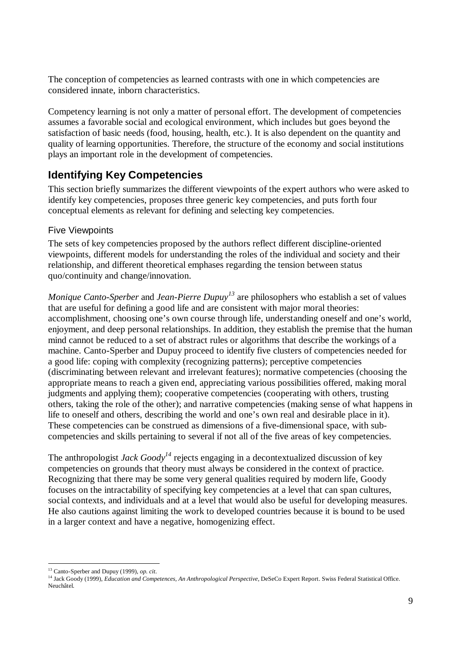The conception of competencies as learned contrasts with one in which competencies are considered innate, inborn characteristics.

Competency learning is not only a matter of personal effort. The development of competencies assumes a favorable social and ecological environment, which includes but goes beyond the satisfaction of basic needs (food, housing, health, etc.). It is also dependent on the quantity and quality of learning opportunities. Therefore, the structure of the economy and social institutions plays an important role in the development of competencies.

## **Identifying Key Competencies**

This section briefly summarizes the different viewpoints of the expert authors who were asked to identify key competencies, proposes three generic key competencies, and puts forth four conceptual elements as relevant for defining and selecting key competencies.

## Five Viewpoints

The sets of key competencies proposed by the authors reflect different discipline-oriented viewpoints, different models for understanding the roles of the individual and society and their relationship, and different theoretical emphases regarding the tension between status quo/continuity and change/innovation.

*Monique Canto-Sperber* and *Jean-Pierre Dupuy<sup>13</sup>* are philosophers who establish a set of values that are useful for defining a good life and are consistent with major moral theories: accomplishment, choosing one's own course through life, understanding oneself and one's world, enjoyment, and deep personal relationships. In addition, they establish the premise that the human mind cannot be reduced to a set of abstract rules or algorithms that describe the workings of a machine. Canto-Sperber and Dupuy proceed to identify five clusters of competencies needed for a good life: coping with complexity (recognizing patterns); perceptive competencies (discriminating between relevant and irrelevant features); normative competencies (choosing the appropriate means to reach a given end, appreciating various possibilities offered, making moral judgments and applying them); cooperative competencies (cooperating with others, trusting others, taking the role of the other); and narrative competencies (making sense of what happens in life to oneself and others, describing the world and one's own real and desirable place in it). These competencies can be construed as dimensions of a five-dimensional space, with subcompetencies and skills pertaining to several if not all of the five areas of key competencies.

The anthropologist *Jack Goody<sup>14</sup>* rejects engaging in a decontextualized discussion of key competencies on grounds that theory must always be considered in the context of practice. Recognizing that there may be some very general qualities required by modern life, Goody focuses on the intractability of specifying key competencies at a level that can span cultures, social contexts, and individuals and at a level that would also be useful for developing measures. He also cautions against limiting the work to developed countries because it is bound to be used in a larger context and have a negative, homogenizing effect.

l

<sup>13</sup> Canto-Sperber and Dupuy (1999), *op. cit*.

<sup>&</sup>lt;sup>14</sup> Jack Goody (1999), *Education and Competences, An Anthropological Perspective*, DeSeCo Expert Report. Swiss Federal Statistical Office. Neuchâtel.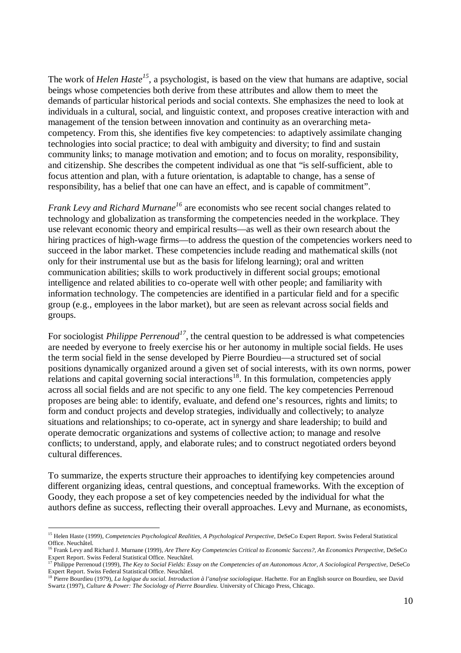The work of *Helen Haste<sup>15</sup>*, a psychologist, is based on the view that humans are adaptive, social beings whose competencies both derive from these attributes and allow them to meet the demands of particular historical periods and social contexts. She emphasizes the need to look at individuals in a cultural, social, and linguistic context, and proposes creative interaction with and management of the tension between innovation and continuity as an overarching metacompetency. From this, she identifies five key competencies: to adaptively assimilate changing technologies into social practice; to deal with ambiguity and diversity; to find and sustain community links; to manage motivation and emotion; and to focus on morality, responsibility, and citizenship. She describes the competent individual as one that "is self-sufficient, able to focus attention and plan, with a future orientation, is adaptable to change, has a sense of responsibility, has a belief that one can have an effect, and is capable of commitment".

*Frank Levy and Richard Murnane<sup>16</sup>* are economists who see recent social changes related to technology and globalization as transforming the competencies needed in the workplace. They use relevant economic theory and empirical results— as well as their own research about the hiring practices of high-wage firms—to address the question of the competencies workers need to succeed in the labor market. These competencies include reading and mathematical skills (not only for their instrumental use but as the basis for lifelong learning); oral and written communication abilities; skills to work productively in different social groups; emotional intelligence and related abilities to co-operate well with other people; and familiarity with information technology. The competencies are identified in a particular field and for a specific group (e.g., employees in the labor market), but are seen as relevant across social fields and groups.

For sociologist *Philippe Perrenoud<sup>17</sup>*, the central question to be addressed is what competencies are needed by everyone to freely exercise his or her autonomy in multiple social fields. He uses the term social field in the sense developed by Pierre Bourdieu— a structured set of social positions dynamically organized around a given set of social interests, with its own norms, power relations and capital governing social interactions<sup>18</sup>. In this formulation, competencies apply across all social fields and are not specific to any one field. The key competencies Perrenoud proposes are being able: to identify, evaluate, and defend one's resources, rights and limits; to form and conduct projects and develop strategies, individually and collectively; to analyze situations and relationships; to co-operate, act in synergy and share leadership; to build and operate democratic organizations and systems of collective action; to manage and resolve conflicts; to understand, apply, and elaborate rules; and to construct negotiated orders beyond cultural differences.

To summarize, the experts structure their approaches to identifying key competencies around different organizing ideas, central questions, and conceptual frameworks. With the exception of Goody, they each propose a set of key competencies needed by the individual for what the authors define as success, reflecting their overall approaches. Levy and Murnane, as economists,

l

<sup>&</sup>lt;sup>15</sup> Helen Haste (1999), *Competencies Psychological Realities, A Psychological Perspective*, DeSeCo Expert Report. Swiss Federal Statistical Office. Neuchâtel.

<sup>16</sup> Frank Levy and Richard J. Murnane (1999), *Are There Key Competencies Critical to Economic Success?*, *An Economics Perspective,* DeSeCo Expert Report. Swiss Federal Statistical Office. Neuchâtel.

<sup>17</sup> Philippe Perrenoud (1999), *The Key to Social Fields: Essay on the Competencies of an Autonomous Actor, A Sociological Perspective*, DeSeCo Expert Report. Swiss Federal Statistical Office. Neuchâtel.

<sup>18</sup> Pierre Bourdieu (1979), *La logique du social. Introduction à l'analyse sociologique*. Hachette. For an English source on Bourdieu, see David Swartz (1997), *Culture & Power: The Sociology of Pierre Bourdieu*. University of Chicago Press, Chicago.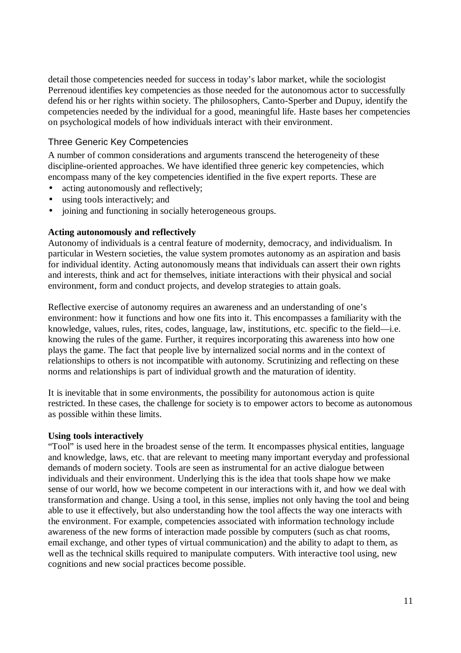detail those competencies needed for success in today's labor market, while the sociologist Perrenoud identifies key competencies as those needed for the autonomous actor to successfully defend his or her rights within society. The philosophers, Canto-Sperber and Dupuy, identify the competencies needed by the individual for a good, meaningful life. Haste bases her competencies on psychological models of how individuals interact with their environment.

### Three Generic Key Competencies

A number of common considerations and arguments transcend the heterogeneity of these discipline-oriented approaches. We have identified three generic key competencies, which encompass many of the key competencies identified in the five expert reports. These are

- acting autonomously and reflectively;
- using tools interactively; and
- joining and functioning in socially heterogeneous groups.

#### **Acting autonomously and reflectively**

Autonomy of individuals is a central feature of modernity, democracy, and individualism. In particular in Western societies, the value system promotes autonomy as an aspiration and basis for individual identity. Acting autonomously means that individuals can assert their own rights and interests, think and act for themselves, initiate interactions with their physical and social environment, form and conduct projects, and develop strategies to attain goals.

Reflective exercise of autonomy requires an awareness and an understanding of one's environment: how it functions and how one fits into it. This encompasses a familiarity with the knowledge, values, rules, rites, codes, language, law, institutions, etc. specific to the field— i.e. knowing the rules of the game. Further, it requires incorporating this awareness into how one plays the game. The fact that people live by internalized social norms and in the context of relationships to others is not incompatible with autonomy. Scrutinizing and reflecting on these norms and relationships is part of individual growth and the maturation of identity.

It is inevitable that in some environments, the possibility for autonomous action is quite restricted. In these cases, the challenge for society is to empower actors to become as autonomous as possible within these limits.

#### **Using tools interactively**

"Tool" is used here in the broadest sense of the term. It encompasses physical entities, language and knowledge, laws, etc. that are relevant to meeting many important everyday and professional demands of modern society. Tools are seen as instrumental for an active dialogue between individuals and their environment. Underlying this is the idea that tools shape how we make sense of our world, how we become competent in our interactions with it, and how we deal with transformation and change. Using a tool, in this sense, implies not only having the tool and being able to use it effectively, but also understanding how the tool affects the way one interacts with the environment. For example, competencies associated with information technology include awareness of the new forms of interaction made possible by computers (such as chat rooms, email exchange, and other types of virtual communication) and the ability to adapt to them, as well as the technical skills required to manipulate computers. With interactive tool using, new cognitions and new social practices become possible.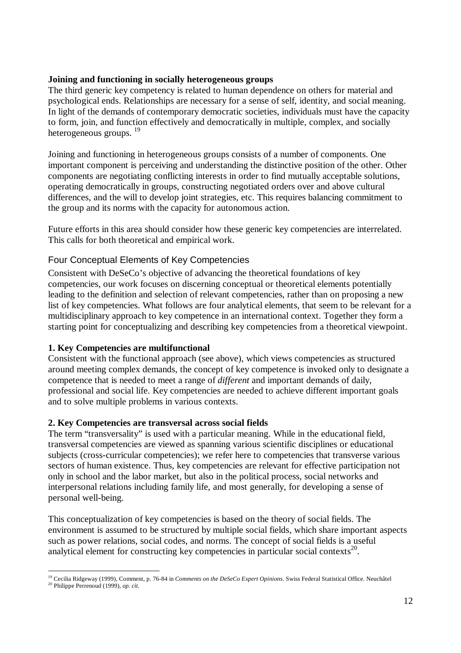### **Joining and functioning in socially heterogeneous groups**

The third generic key competency is related to human dependence on others for material and psychological ends. Relationships are necessary for a sense of self, identity, and social meaning. In light of the demands of contemporary democratic societies, individuals must have the capacity to form, join, and function effectively and democratically in multiple, complex, and socially heterogeneous groups.<sup>19</sup>

Joining and functioning in heterogeneous groups consists of a number of components. One important component is perceiving and understanding the distinctive position of the other. Other components are negotiating conflicting interests in order to find mutually acceptable solutions, operating democratically in groups, constructing negotiated orders over and above cultural differences, and the will to develop joint strategies, etc. This requires balancing commitment to the group and its norms with the capacity for autonomous action.

Future efforts in this area should consider how these generic key competencies are interrelated. This calls for both theoretical and empirical work.

## Four Conceptual Elements of Key Competencies

Consistent with DeSeCo's objective of advancing the theoretical foundations of key competencies, our work focuses on discerning conceptual or theoretical elements potentially leading to the definition and selection of relevant competencies, rather than on proposing a new list of key competencies. What follows are four analytical elements, that seem to be relevant for a multidisciplinary approach to key competence in an international context. Together they form a starting point for conceptualizing and describing key competencies from a theoretical viewpoint.

## **1. Key Competencies are multifunctional**

Consistent with the functional approach (see above), which views competencies as structured around meeting complex demands, the concept of key competence is invoked only to designate a competence that is needed to meet a range of *different* and important demands of daily, professional and social life. Key competencies are needed to achieve different important goals and to solve multiple problems in various contexts.

## **2. Key Competencies are transversal across social fields**

The term "transversality" is used with a particular meaning. While in the educational field, transversal competencies are viewed as spanning various scientific disciplines or educational subjects (cross-curricular competencies); we refer here to competencies that transverse various sectors of human existence. Thus, key competencies are relevant for effective participation not only in school and the labor market, but also in the political process, social networks and interpersonal relations including family life, and most generally, for developing a sense of personal well-being.

This conceptualization of key competencies is based on the theory of social fields. The environment is assumed to be structured by multiple social fields, which share important aspects such as power relations, social codes, and norms. The concept of social fields is a useful analytical element for constructing key competencies in particular social contexts<sup>20</sup>.

l <sup>19</sup> Cecilia Ridgeway (1999), Comment, p. 76-84 in *Comments on the DeSeCo Expert Opinions*. Swiss Federal Statistical Office. Neuchâtel <sup>20</sup> Philippe Perrenoud (1999), *op. cit.*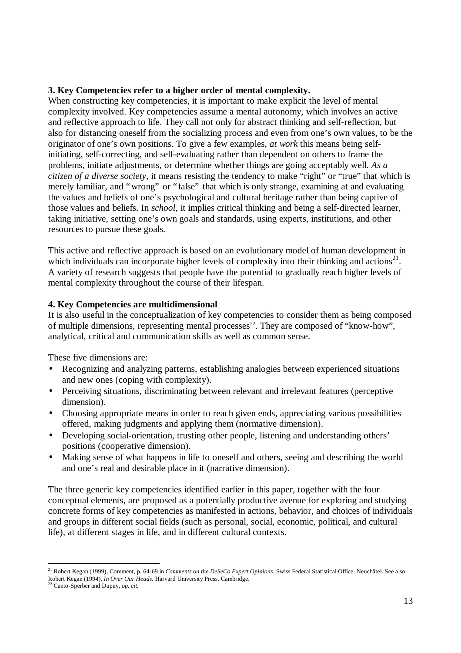#### **3. Key Competencies refer to a higher order of mental complexity.**

When constructing key competencies, it is important to make explicit the level of mental complexity involved. Key competencies assume a mental autonomy, which involves an active and reflective approach to life. They call not only for abstract thinking and self-reflection, but also for distancing oneself from the socializing process and even from one's own values, to be the originator of one's own positions. To give a few examples, *at work* this means being selfinitiating, self-correcting, and self-evaluating rather than dependent on others to frame the problems, initiate adjustments, or determine whether things are going acceptably well. *As a citizen of a diverse society*, it means resisting the tendency to make "right" or "true" that which is merely familiar, and "wrong" or "false" that which is only strange, examining at and evaluating the values and beliefs of one's psychological and cultural heritage rather than being captive of those values and beliefs. In *school*, it implies critical thinking and being a self-directed learner, taking initiative, setting one's own goals and standards, using experts, institutions, and other resources to pursue these goals.

This active and reflective approach is based on an evolutionary model of human development in which individuals can incorporate higher levels of complexity into their thinking and actions<sup>21</sup>. A variety of research suggests that people have the potential to gradually reach higher levels of mental complexity throughout the course of their lifespan.

## **4. Key Competencies are multidimensional**

It is also useful in the conceptualization of key competencies to consider them as being composed of multiple dimensions, representing mental processes<sup>22</sup>. They are composed of "know-how", analytical, critical and communication skills as well as common sense.

These five dimensions are:

- Recognizing and analyzing patterns, establishing analogies between experienced situations and new ones (coping with complexity).
- Perceiving situations, discriminating between relevant and irrelevant features (perceptive dimension).
- Choosing appropriate means in order to reach given ends, appreciating various possibilities offered, making judgments and applying them (normative dimension).
- Developing social-orientation, trusting other people, listening and understanding others' positions (cooperative dimension).
- Making sense of what happens in life to oneself and others, seeing and describing the world and one's real and desirable place in it (narrative dimension).

The three generic key competencies identified earlier in this paper, together with the four conceptual elements, are proposed as a potentially productive avenue for exploring and studying concrete forms of key competencies as manifested in actions, behavior, and choices of individuals and groups in different social fields (such as personal, social, economic, political, and cultural life), at different stages in life, and in different cultural contexts.

l

<sup>21</sup> Robert Kegan (1999), Comment, p. 64-69 in *Comments on the DeSeCo Expert Opinions*. Swiss Federal Statistical Office. Neuchâtel. See also Robert Kegan (1994), *In Over Our Heads*. Harvard University Press, Cambridge. <sup>22</sup> Canto-Sperber and Dupuy, *op. cit.*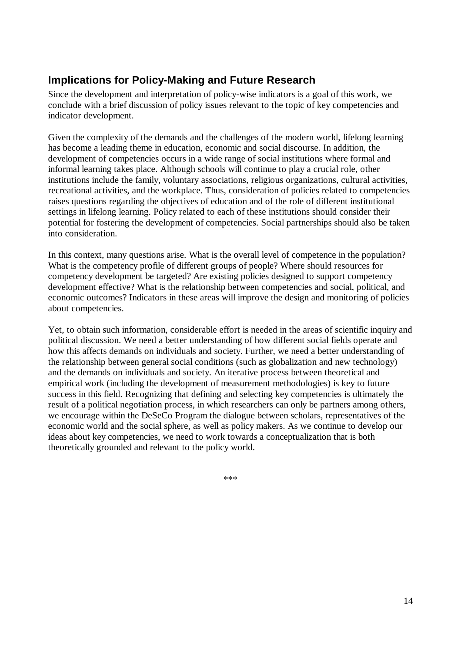# **Implications for Policy-Making and Future Research**

Since the development and interpretation of policy-wise indicators is a goal of this work, we conclude with a brief discussion of policy issues relevant to the topic of key competencies and indicator development.

Given the complexity of the demands and the challenges of the modern world, lifelong learning has become a leading theme in education, economic and social discourse. In addition, the development of competencies occurs in a wide range of social institutions where formal and informal learning takes place. Although schools will continue to play a crucial role, other institutions include the family, voluntary associations, religious organizations, cultural activities, recreational activities, and the workplace. Thus, consideration of policies related to competencies raises questions regarding the objectives of education and of the role of different institutional settings in lifelong learning. Policy related to each of these institutions should consider their potential for fostering the development of competencies. Social partnerships should also be taken into consideration.

In this context, many questions arise. What is the overall level of competence in the population? What is the competency profile of different groups of people? Where should resources for competency development be targeted? Are existing policies designed to support competency development effective? What is the relationship between competencies and social, political, and economic outcomes? Indicators in these areas will improve the design and monitoring of policies about competencies.

Yet, to obtain such information, considerable effort is needed in the areas of scientific inquiry and political discussion. We need a better understanding of how different social fields operate and how this affects demands on individuals and society. Further, we need a better understanding of the relationship between general social conditions (such as globalization and new technology) and the demands on individuals and society. An iterative process between theoretical and empirical work (including the development of measurement methodologies) is key to future success in this field. Recognizing that defining and selecting key competencies is ultimately the result of a political negotiation process, in which researchers can only be partners among others, we encourage within the DeSeCo Program the dialogue between scholars, representatives of the economic world and the social sphere, as well as policy makers. As we continue to develop our ideas about key competencies, we need to work towards a conceptualization that is both theoretically grounded and relevant to the policy world.

\*\*\*